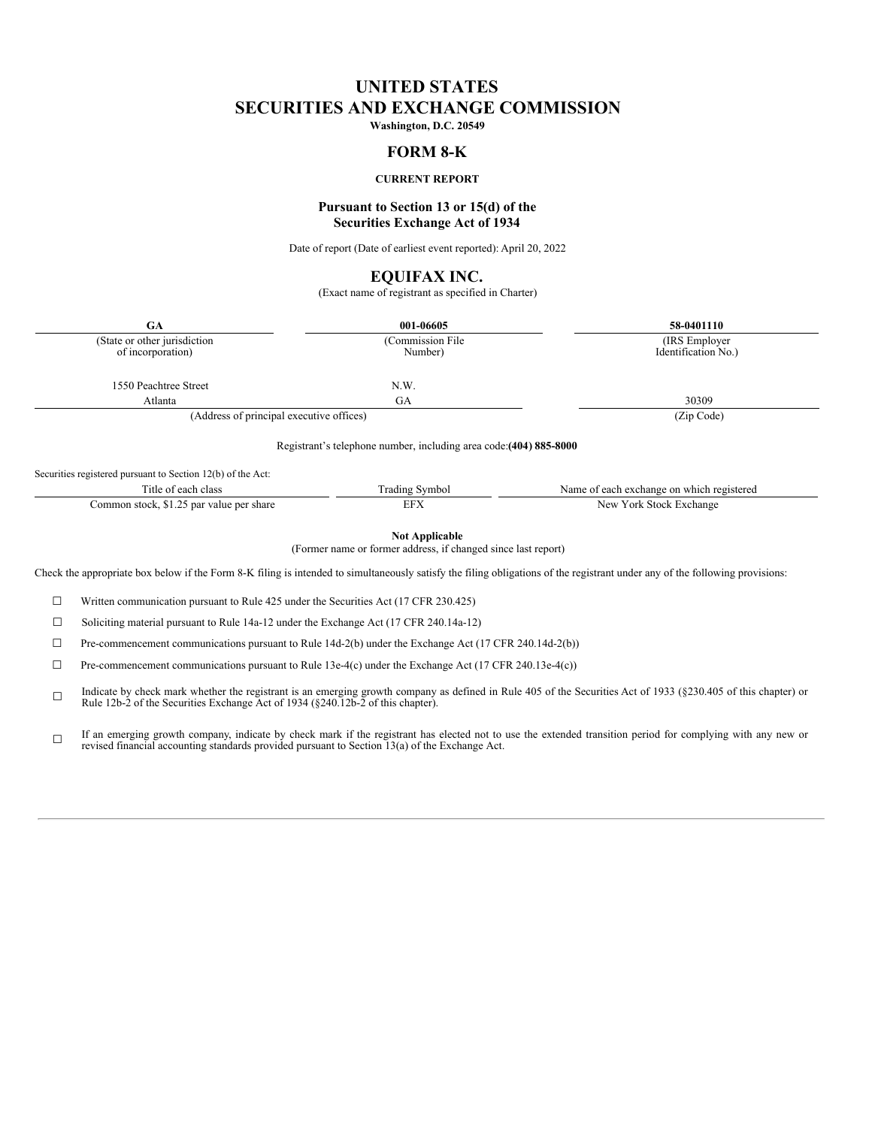# **UNITED STATES SECURITIES AND EXCHANGE COMMISSION**

**Washington, D.C. 20549**

## **FORM 8-K**

## **CURRENT REPORT**

## **Pursuant to Section 13 or 15(d) of the Securities Exchange Act of 1934**

Date of report (Date of earliest event reported): April 20, 2022

## **EQUIFAX INC.**

(Exact name of registrant as specified in Charter)

| <b>GA</b>                                                   | 001-06605                                                                              | 58-0401110                                |
|-------------------------------------------------------------|----------------------------------------------------------------------------------------|-------------------------------------------|
| (State or other jurisdiction<br>of incorporation)           | (Commission File)<br>Number)                                                           | (IRS Employer)<br>Identification No.)     |
| 1550 Peachtree Street                                       | N.W.                                                                                   |                                           |
| Atlanta                                                     | <b>GA</b>                                                                              | 30309                                     |
| (Address of principal executive offices)                    | (Zip Code)                                                                             |                                           |
| Securities registered pursuant to Section 12(b) of the Act: | Registrant's telephone number, including area code: (404) 885-8000                     |                                           |
| Title of each class                                         | <b>Trading Symbol</b>                                                                  | Name of each exchange on which registered |
| Common stock, \$1.25 par value per share                    | <b>EFX</b>                                                                             | New York Stock Exchange                   |
|                                                             | <b>Not Applicable</b><br>(Former name or former address, if changed since last report) |                                           |

Check the appropriate box below if the Form 8-K filing is intended to simultaneously satisfy the filing obligations of the registrant under any of the following provisions:

 $\Box$  Written communication pursuant to Rule 425 under the Securities Act (17 CFR 230.425)

☐ Soliciting material pursuant to Rule 14a-12 under the Exchange Act (17 CFR 240.14a-12)

☐ Pre-commencement communications pursuant to Rule 14d-2(b) under the Exchange Act (17 CFR 240.14d-2(b))

☐ Pre-commencement communications pursuant to Rule 13e-4(c) under the Exchange Act (17 CFR 240.13e-4(c))

☐ Indicate by check mark whether the registrant is an emerging growth company as defined in Rule 405 of the Securities Act of 1933 (§230.405 of this chapter) or Rule 12b-2 of the Securities Exchange Act of 1934 (§240.12b-2 o

☐ If an emerging growth company, indicate by check mark if the registrant has elected not to use the extended transition period for complying with any new or revised financial accounting standards provided pursuant to Sectio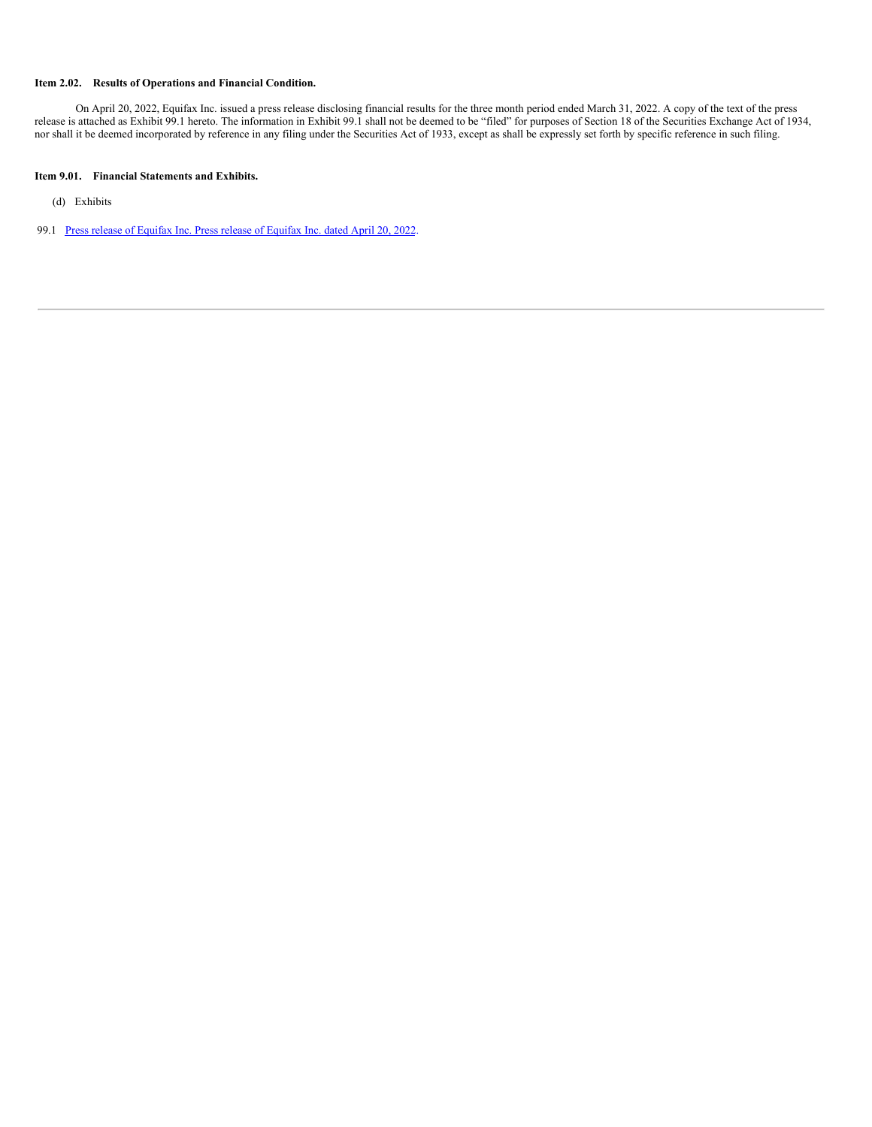### **Item 2.02. Results of Operations and Financial Condition.**

On April 20, 2022, Equifax Inc. issued a press release disclosing financial results for the three month period ended March 31, 2022. A copy of the text of the press release is attached as Exhibit 99.1 hereto. The information in Exhibit 99.1 shall not be deemed to be "filed" for purposes of Section 18 of the Securities Exchange Act of 1934, nor shall it be deemed incorporated by reference in any filing under the Securities Act of 1933, except as shall be expressly set forth by specific reference in such filing.

## **Item 9.01. Financial Statements and Exhibits.**

(d) Exhibits

99.1 Press release of [Equifax](#page-9-0) Inc. Press release of Equifax Inc. dated April 20, 2022.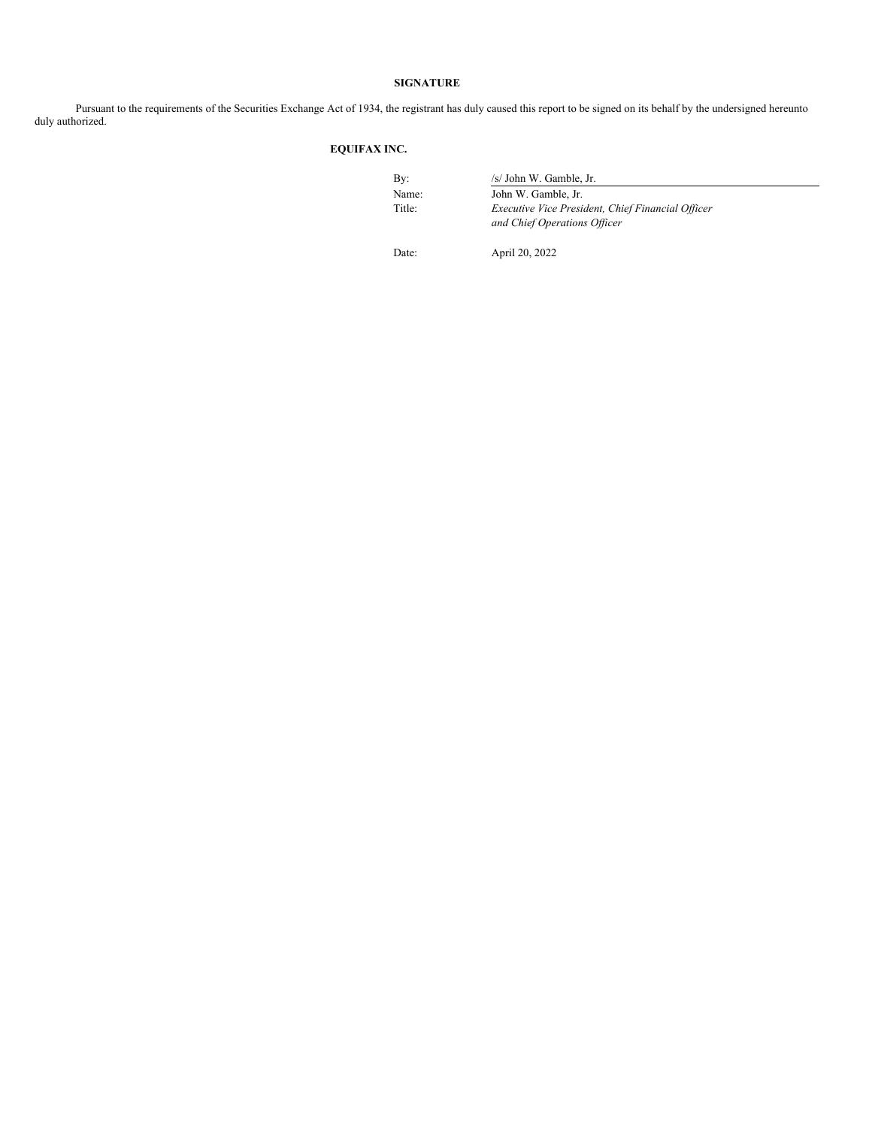## **SIGNATURE**

Pursuant to the requirements of the Securities Exchange Act of 1934, the registrant has duly caused this report to be signed on its behalf by the undersigned hereunto duly authorized.

## **EQUIFAX INC.**

| By:    | /s/ John W. Gamble, Jr.                                                           |
|--------|-----------------------------------------------------------------------------------|
| Name:  | John W. Gamble, Jr.                                                               |
| Title: | Executive Vice President, Chief Financial Officer<br>and Chief Operations Officer |

Date: April 20, 2022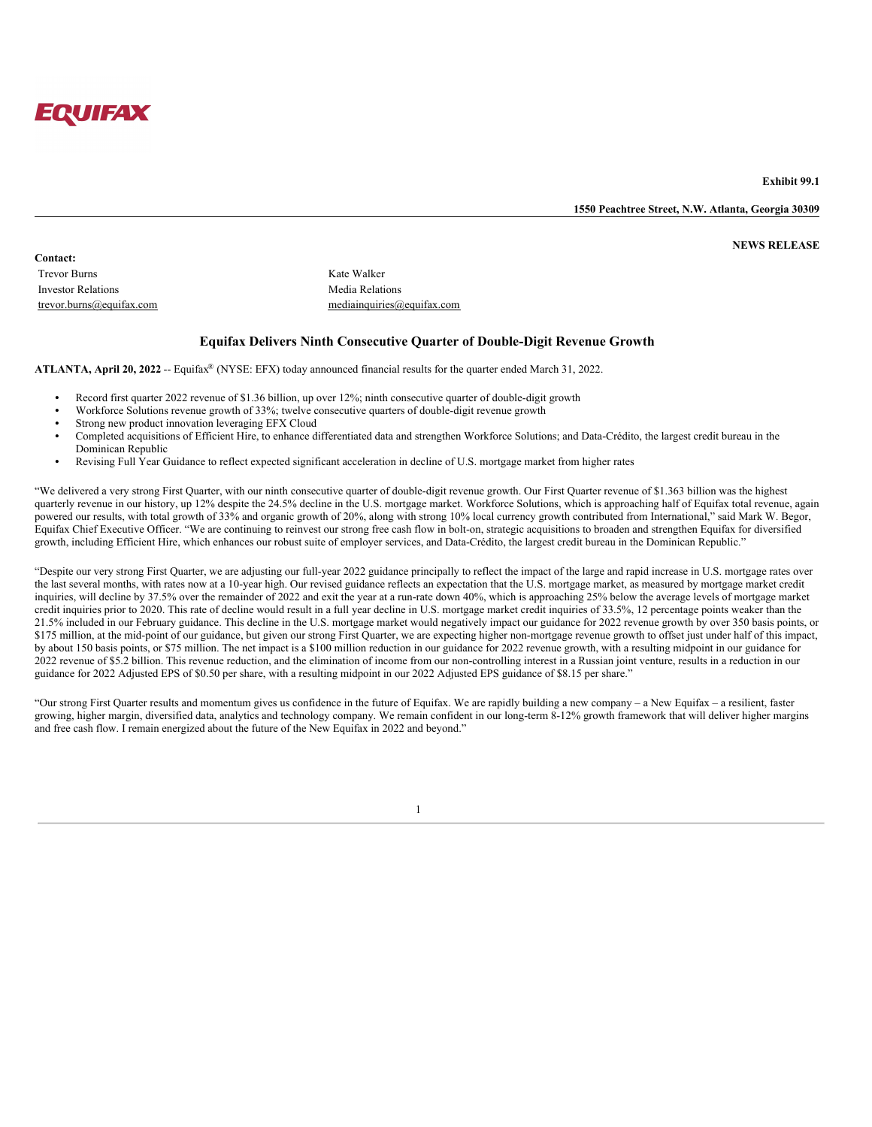

**Exhibit 99.1**

**1550 Peachtree Street, N.W. Atlanta, Georgia 30309**

**NEWS RELEASE**

**Contact:** Trevor Burns Kate Walker Investor Relations Media Relations

trevor.burns@equifax.com mediainquiries@equifax.com

## **Equifax Delivers Ninth Consecutive Quarter of Double-Digit Revenue Growth**

ATLANTA, April 20, 2022 -- Equifax<sup>®</sup> (NYSE: EFX) today announced financial results for the quarter ended March 31, 2022.

- **•** Record first quarter 2022 revenue of \$1.36 billion, up over 12%; ninth consecutive quarter of double-digit growth
- **•** Workforce Solutions revenue growth of 33%; twelve consecutive quarters of double-digit revenue growth
- **•** Strong new product innovation leveraging EFX Cloud
- **•** Completed acquisitions of Efficient Hire, to enhance differentiated data and strengthen Workforce Solutions; and Data-Crédito, the largest credit bureau in the Dominican Republic
- **•** Revising Full Year Guidance to reflect expected significant acceleration in decline of U.S. mortgage market from higher rates

"We delivered a very strong First Quarter, with our ninth consecutive quarter of double-digit revenue growth. Our First Quarter revenue of \$1.363 billion was the highest quarterly revenue in our history, up 12% despite the 24.5% decline in the U.S. mortgage market. Workforce Solutions, which is approaching half of Equifax total revenue, again powered our results, with total growth of 33% and organic growth of 20%, along with strong 10% local currency growth contributed from International," said Mark W. Begor, Equifax Chief Executive Officer. "We are continuing to reinvest our strong free cash flow in bolt-on, strategic acquisitions to broaden and strengthen Equifax for diversified growth, including Efficient Hire, which enhances our robust suite of employer services, and Data-Crédito, the largest credit bureau in the Dominican Republic."

"Despite our very strong First Quarter, we are adjusting our full-year 2022 guidance principally to reflect the impact of the large and rapid increase in U.S. mortgage rates over the last several months, with rates now at a 10-year high. Our revised guidance reflects an expectation that the U.S. mortgage market, as measured by mortgage market credit inquiries, will decline by 37.5% over the remainder of 2022 and exit the year at a run-rate down 40%, which is approaching 25% below the average levels of mortgage market credit inquiries prior to 2020. This rate of decline would result in a full year decline in U.S. mortgage market credit inquiries of 33.5%, 12 percentage points weaker than the 21.5% included in our February guidance. This decline in the U.S. mortgage market would negatively impact our guidance for 2022 revenue growth by over 350 basis points, or \$175 million, at the mid-point of our guidance, but given our strong First Quarter, we are expecting higher non-mortgage revenue growth to offset just under half of this impact, by about 150 basis points, or \$75 million. The net impact is a \$100 million reduction in our guidance for 2022 revenue growth, with a resulting midpoint in our guidance for 2022 revenue of \$5.2 billion. This revenue reduction, and the elimination of income from our non-controlling interest in a Russian joint venture, results in a reduction in our guidance for 2022 Adjusted EPS of \$0.50 per share, with a resulting midpoint in our 2022 Adjusted EPS guidance of \$8.15 per share."

"Our strong First Quarter results and momentum gives us confidence in the future of Equifax. We are rapidly building a new company – a New Equifax – a resilient, faster growing, higher margin, diversified data, analytics and technology company. We remain confident in our long-term 8-12% growth framework that will deliver higher margins and free cash flow. I remain energized about the future of the New Equifax in 2022 and beyond."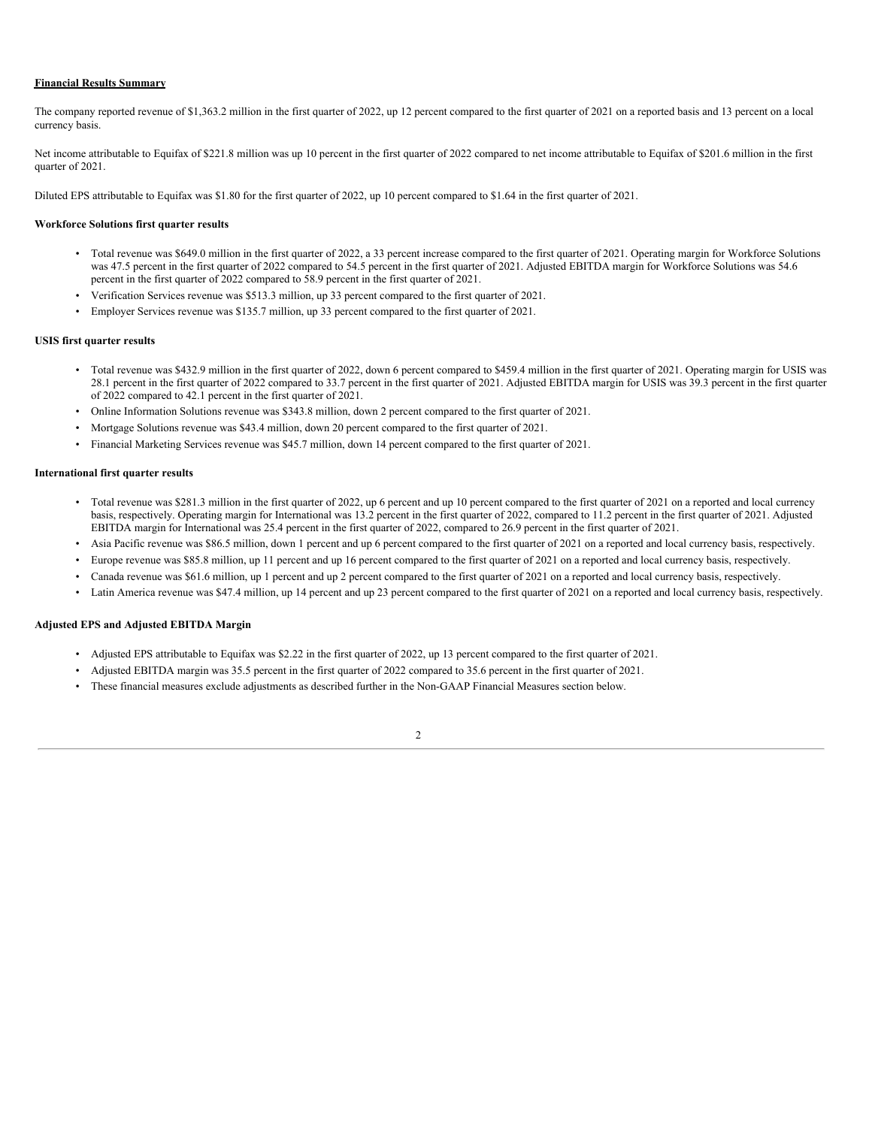#### **Financial Results Summary**

The company reported revenue of \$1,363.2 million in the first quarter of 2022, up 12 percent compared to the first quarter of 2021 on a reported basis and 13 percent on a local currency basis.

Net income attributable to Equifax of \$221.8 million was up 10 percent in the first quarter of 2022 compared to net income attributable to Equifax of \$201.6 million in the first quarter of 2021.

Diluted EPS attributable to Equifax was \$1.80 for the first quarter of 2022, up 10 percent compared to \$1.64 in the first quarter of 2021.

#### **Workforce Solutions first quarter results**

- Total revenue was \$649.0 million in the first quarter of 2022, a 33 percent increase compared to the first quarter of 2021. Operating margin for Workforce Solutions was 47.5 percent in the first quarter of 2022 compared to 54.5 percent in the first quarter of 2021. Adjusted EBITDA margin for Workforce Solutions was 54.6 percent in the first quarter of 2022 compared to 58.9 percent in the first quarter of 2021.
- Verification Services revenue was \$513.3 million, up 33 percent compared to the first quarter of 2021.
- Employer Services revenue was \$135.7 million, up 33 percent compared to the first quarter of 2021.

#### **USIS first quarter results**

- Total revenue was \$432.9 million in the first quarter of 2022, down 6 percent compared to \$459.4 million in the first quarter of 2021. Operating margin for USIS was 28.1 percent in the first quarter of 2022 compared to 33.7 percent in the first quarter of 2021. Adjusted EBITDA margin for USIS was 39.3 percent in the first quarter of 2022 compared to 42.1 percent in the first quarter of 2021.
- Online Information Solutions revenue was \$343.8 million, down 2 percent compared to the first quarter of 2021.
- Mortgage Solutions revenue was \$43.4 million, down 20 percent compared to the first quarter of 2021.
- Financial Marketing Services revenue was \$45.7 million, down 14 percent compared to the first quarter of 2021.

#### **International first quarter results**

- Total revenue was \$281.3 million in the first quarter of 2022, up 6 percent and up 10 percent compared to the first quarter of 2021 on a reported and local currency basis, respectively. Operating margin for International was 13.2 percent in the first quarter of 2022, compared to 11.2 percent in the first quarter of 2021. Adjusted EBITDA margin for International was 25.4 percent in the first quarter of 2022, compared to 26.9 percent in the first quarter of 2021.
- Asia Pacific revenue was \$86.5 million, down 1 percent and up 6 percent compared to the first quarter of 2021 on a reported and local currency basis, respectively.
- Europe revenue was \$85.8 million, up 11 percent and up 16 percent compared to the first quarter of 2021 on a reported and local currency basis, respectively.
- Canada revenue was \$61.6 million, up 1 percent and up 2 percent compared to the first quarter of 2021 on a reported and local currency basis, respectively.
- Latin America revenue was \$47.4 million, up 14 percent and up 23 percent compared to the first quarter of 2021 on a reported and local currency basis, respectively.

### **Adjusted EPS and Adjusted EBITDA Margin**

- Adjusted EPS attributable to Equifax was \$2.22 in the first quarter of 2022, up 13 percent compared to the first quarter of 2021.
- Adjusted EBITDA margin was 35.5 percent in the first quarter of 2022 compared to 35.6 percent in the first quarter of 2021.
- These financial measures exclude adjustments as described further in the Non-GAAP Financial Measures section below.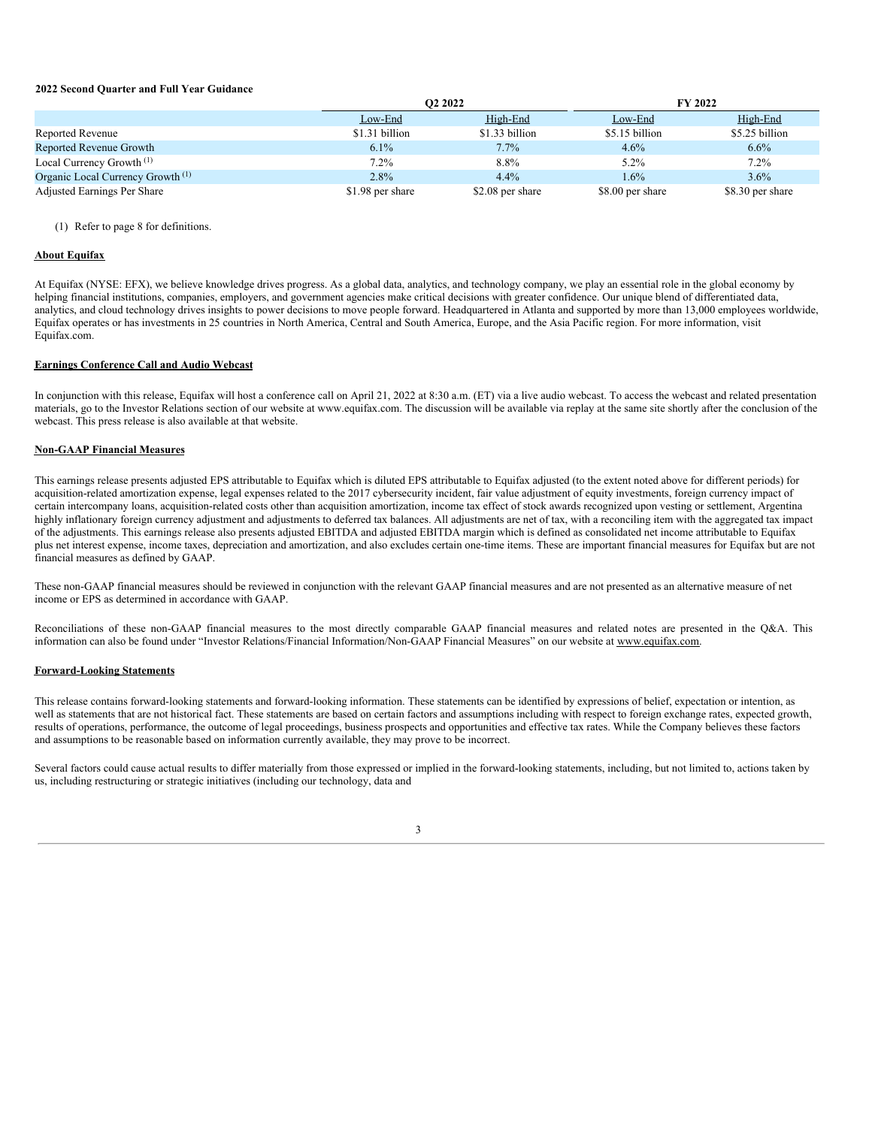#### **2022 Second Quarter and Full Year Guidance**

|                                              | O <sub>2</sub> 2022 |                  |                  | FY 2022          |
|----------------------------------------------|---------------------|------------------|------------------|------------------|
|                                              | Low-End             | High-End         | Low-End          | High-End         |
| Reported Revenue                             | \$1.31 billion      | \$1.33 billion   | \$5.15 billion   | \$5.25 billion   |
| Reported Revenue Growth                      | $6.1\%$             | $7.7\%$          | $4.6\%$          | $6.6\%$          |
| Local Currency Growth <sup>(1)</sup>         | 7.2%                | 8.8%             | $5.2\%$          | $7.2\%$          |
| Organic Local Currency Growth <sup>(1)</sup> | $2.8\%$             | $4.4\%$          | $1.6\%$          | $3.6\%$          |
| Adjusted Earnings Per Share                  | \$1.98 per share    | \$2.08 per share | \$8.00 per share | \$8.30 per share |

(1) Refer to page 8 for definitions.

## **About Equifax**

At Equifax (NYSE: EFX), we believe knowledge drives progress. As a global data, analytics, and technology company, we play an essential role in the global economy by helping financial institutions, companies, employers, and government agencies make critical decisions with greater confidence. Our unique blend of differentiated data, analytics, and cloud technology drives insights to power decisions to move people forward. Headquartered in Atlanta and supported by more than 13,000 employees worldwide, Equifax operates or has investments in 25 countries in North America, Central and South America, Europe, and the Asia Pacific region. For more information, visit Equifax.com.

#### **Earnings Conference Call and Audio Webcast**

In conjunction with this release, Equifax will host a conference call on April 21, 2022 at 8:30 a.m. (ET) via a live audio webcast. To access the webcast and related presentation materials, go to the Investor Relations section of our website at www.equifax.com. The discussion will be available via replay at the same site shortly after the conclusion of the webcast. This press release is also available at that website.

#### **Non-GAAP Financial Measures**

This earnings release presents adjusted EPS attributable to Equifax which is diluted EPS attributable to Equifax adjusted (to the extent noted above for different periods) for acquisition-related amortization expense, legal expenses related to the 2017 cybersecurity incident, fair value adjustment of equity investments, foreign currency impact of certain intercompany loans, acquisition-related costs other than acquisition amortization, income tax effect of stock awards recognized upon vesting or settlement, Argentina highly inflationary foreign currency adjustment and adjustments to deferred tax balances. All adjustments are net of tax, with a reconciling item with the aggregated tax impact of the adjustments. This earnings release also presents adjusted EBITDA and adjusted EBITDA margin which is defined as consolidated net income attributable to Equifax plus net interest expense, income taxes, depreciation and amortization, and also excludes certain one-time items. These are important financial measures for Equifax but are not financial measures as defined by GAAP.

These non-GAAP financial measures should be reviewed in conjunction with the relevant GAAP financial measures and are not presented as an alternative measure of net income or EPS as determined in accordance with GAAP.

Reconciliations of these non-GAAP financial measures to the most directly comparable GAAP financial measures and related notes are presented in the Q&A. This information can also be found under "Investor Relations/Financial Information/Non-GAAP Financial Measures" on our website at www.equifax.com.

## **Forward-Looking Statements**

This release contains forward-looking statements and forward-looking information. These statements can be identified by expressions of belief, expectation or intention, as well as statements that are not historical fact. These statements are based on certain factors and assumptions including with respect to foreign exchange rates, expected growth, results of operations, performance, the outcome of legal proceedings, business prospects and opportunities and effective tax rates. While the Company believes these factors and assumptions to be reasonable based on information currently available, they may prove to be incorrect.

Several factors could cause actual results to differ materially from those expressed or implied in the forward-looking statements, including, but not limited to, actions taken by us, including restructuring or strategic initiatives (including our technology, data and

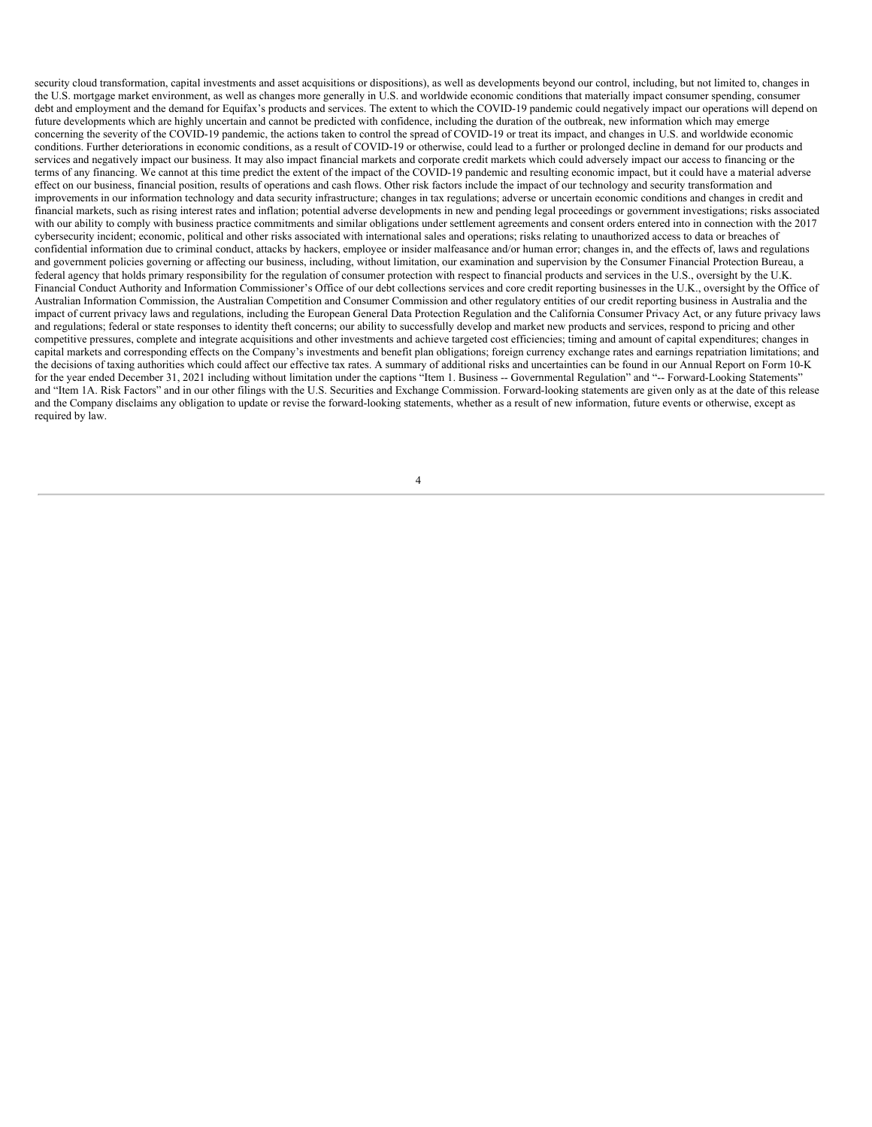security cloud transformation, capital investments and asset acquisitions or dispositions), as well as developments beyond our control, including, but not limited to, changes in the U.S. mortgage market environment, as well as changes more generally in U.S. and worldwide economic conditions that materially impact consumer spending, consumer debt and employment and the demand for Equifax's products and services. The extent to which the COVID-19 pandemic could negatively impact our operations will depend on future developments which are highly uncertain and cannot be predicted with confidence, including the duration of the outbreak, new information which may emerge concerning the severity of the COVID-19 pandemic, the actions taken to control the spread of COVID-19 or treat its impact, and changes in U.S. and worldwide economic conditions. Further deteriorations in economic conditions, as a result of COVID-19 or otherwise, could lead to a further or prolonged decline in demand for our products and services and negatively impact our business. It may also impact financial markets and corporate credit markets which could adversely impact our access to financing or the terms of any financing. We cannot at this time predict the extent of the impact of the COVID-19 pandemic and resulting economic impact, but it could have a material adverse effect on our business, financial position, results of operations and cash flows. Other risk factors include the impact of our technology and security transformation and improvements in our information technology and data security infrastructure; changes in tax regulations; adverse or uncertain economic conditions and changes in credit and financial markets, such as rising interest rates and inflation; potential adverse developments in new and pending legal proceedings or government investigations; risks associated with our ability to comply with business practice commitments and similar obligations under settlement agreements and consent orders entered into in connection with the 2017 cybersecurity incident; economic, political and other risks associated with international sales and operations; risks relating to unauthorized access to data or breaches of confidential information due to criminal conduct, attacks by hackers, employee or insider malfeasance and/or human error; changes in, and the effects of, laws and regulations and government policies governing or affecting our business, including, without limitation, our examination and supervision by the Consumer Financial Protection Bureau, a federal agency that holds primary responsibility for the regulation of consumer protection with respect to financial products and services in the U.S., oversight by the U.K. Financial Conduct Authority and Information Commissioner's Office of our debt collections services and core credit reporting businesses in the U.K., oversight by the Office of Australian Information Commission, the Australian Competition and Consumer Commission and other regulatory entities of our credit reporting business in Australia and the impact of current privacy laws and regulations, including the European General Data Protection Regulation and the California Consumer Privacy Act, or any future privacy laws and regulations; federal or state responses to identity theft concerns; our ability to successfully develop and market new products and services, respond to pricing and other competitive pressures, complete and integrate acquisitions and other investments and achieve targeted cost efficiencies; timing and amount of capital expenditures; changes in capital markets and corresponding effects on the Company's investments and benefit plan obligations; foreign currency exchange rates and earnings repatriation limitations; and the decisions of taxing authorities which could affect our effective tax rates. A summary of additional risks and uncertainties can be found in our Annual Report on Form 10-K for the year ended December 31, 2021 including without limitation under the captions "Item 1. Business -- Governmental Regulation" and "-- Forward-Looking Statements" and "Item 1A. Risk Factors" and in our other filings with the U.S. Securities and Exchange Commission. Forward-looking statements are given only as at the date of this release and the Company disclaims any obligation to update or revise the forward-looking statements, whether as a result of new information, future events or otherwise, except as required by law.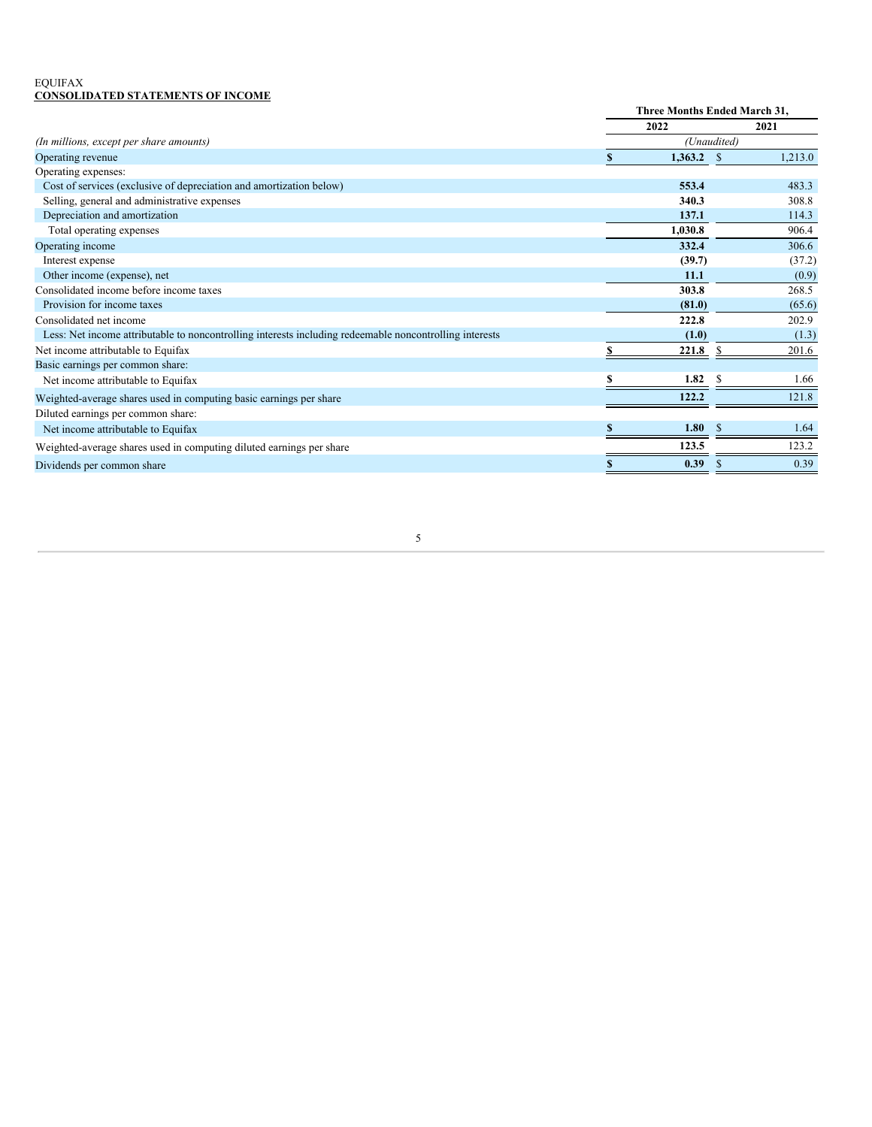## EQUIFAX **CONSOLIDATED STATEMENTS OF INCOME**

|                                                                                                         | Three Months Ended March 31, |         |              |         |
|---------------------------------------------------------------------------------------------------------|------------------------------|---------|--------------|---------|
|                                                                                                         |                              | 2022    |              | 2021    |
| (In millions, except per share amounts)                                                                 |                              |         | (Unaudited)  |         |
| Operating revenue                                                                                       |                              | 1.363.2 | <sup>S</sup> | 1.213.0 |
| Operating expenses:                                                                                     |                              |         |              |         |
| Cost of services (exclusive of depreciation and amortization below)                                     |                              | 553.4   |              | 483.3   |
| Selling, general and administrative expenses                                                            |                              | 340.3   |              | 308.8   |
| Depreciation and amortization                                                                           |                              | 137.1   |              | 114.3   |
| Total operating expenses                                                                                |                              | 1,030.8 |              | 906.4   |
| Operating income                                                                                        |                              | 332.4   |              | 306.6   |
| Interest expense                                                                                        |                              | (39.7)  |              | (37.2)  |
| Other income (expense), net                                                                             |                              | 11.1    |              | (0.9)   |
| Consolidated income before income taxes                                                                 |                              | 303.8   |              | 268.5   |
| Provision for income taxes                                                                              |                              | (81.0)  |              | (65.6)  |
| Consolidated net income                                                                                 |                              | 222.8   |              | 202.9   |
| Less: Net income attributable to noncontrolling interests including redeemable noncontrolling interests |                              | (1.0)   |              | (1.3)   |
| Net income attributable to Equifax                                                                      |                              | 221.8   |              | 201.6   |
| Basic earnings per common share:                                                                        |                              |         |              |         |
| Net income attributable to Equifax                                                                      |                              | 1.82    |              | 1.66    |
| Weighted-average shares used in computing basic earnings per share                                      |                              | 122.2   |              | 121.8   |
| Diluted earnings per common share:                                                                      |                              |         |              |         |
| Net income attributable to Equifax                                                                      |                              | 1.80    |              | 1.64    |
| Weighted-average shares used in computing diluted earnings per share                                    |                              | 123.5   |              | 123.2   |
| Dividends per common share                                                                              |                              | 0.39    |              | 0.39    |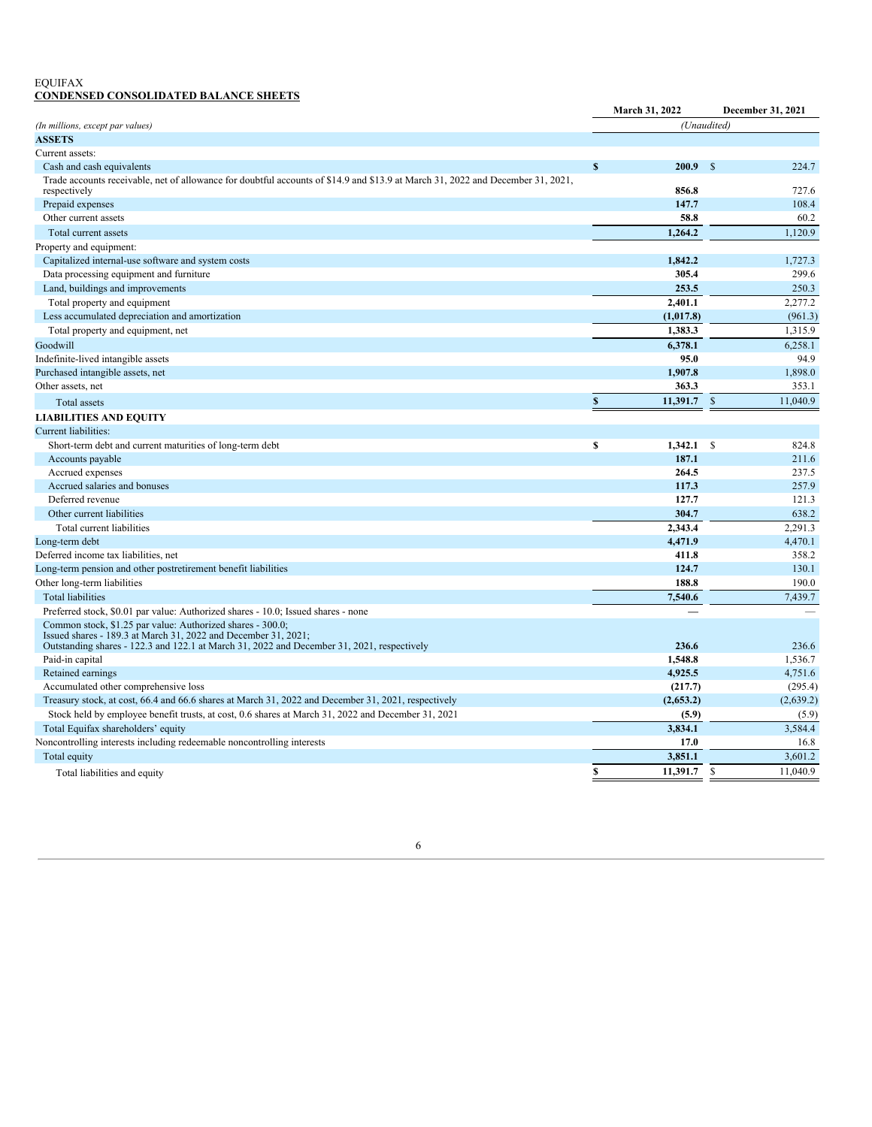## EQUIFAX **CONDENSED CONSOLIDATED BALANCE SHEETS**

|                                                                                                                                                                                                                            |              | March 31, 2022 |               | December 31, 2021        |
|----------------------------------------------------------------------------------------------------------------------------------------------------------------------------------------------------------------------------|--------------|----------------|---------------|--------------------------|
| (In millions, except par values)                                                                                                                                                                                           |              |                | (Unaudited)   |                          |
| <b>ASSETS</b>                                                                                                                                                                                                              |              |                |               |                          |
| Current assets:                                                                                                                                                                                                            |              |                |               |                          |
| Cash and cash equivalents                                                                                                                                                                                                  | $\mathbf{s}$ | 200.9          | \$            | 224.7                    |
| Trade accounts receivable, net of allowance for doubtful accounts of \$14.9 and \$13.9 at March 31, 2022 and December 31, 2021,<br>respectively                                                                            |              | 856.8          |               | 727.6                    |
| Prepaid expenses                                                                                                                                                                                                           |              | 147.7          |               | 108.4                    |
| Other current assets                                                                                                                                                                                                       |              | 58.8           |               | 60.2                     |
| Total current assets                                                                                                                                                                                                       |              | 1,264.2        |               | 1,120.9                  |
| Property and equipment:                                                                                                                                                                                                    |              |                |               |                          |
| Capitalized internal-use software and system costs                                                                                                                                                                         |              | 1,842.2        |               | 1,727.3                  |
| Data processing equipment and furniture                                                                                                                                                                                    |              | 305.4          |               | 299.6                    |
| Land, buildings and improvements                                                                                                                                                                                           |              | 253.5          |               | 250.3                    |
| Total property and equipment                                                                                                                                                                                               |              | 2,401.1        |               | 2,277.2                  |
| Less accumulated depreciation and amortization                                                                                                                                                                             |              | (1,017.8)      |               | (961.3)                  |
| Total property and equipment, net                                                                                                                                                                                          |              | 1,383.3        |               | 1,315.9                  |
| Goodwill                                                                                                                                                                                                                   |              | 6.378.1        |               | 6.258.1                  |
| Indefinite-lived intangible assets                                                                                                                                                                                         |              | 95.0           |               | 94.9                     |
| Purchased intangible assets, net                                                                                                                                                                                           |              | 1.907.8        |               | 1.898.0                  |
| Other assets, net                                                                                                                                                                                                          |              | 363.3          |               | 353.1                    |
| Total assets                                                                                                                                                                                                               | S            | 11,391.7       | $\mathsf{\$}$ | 11,040.9                 |
| <b>LIABILITIES AND EQUITY</b>                                                                                                                                                                                              |              |                |               |                          |
| Current liabilities:                                                                                                                                                                                                       |              |                |               |                          |
| Short-term debt and current maturities of long-term debt                                                                                                                                                                   | \$           | 1,342.1        | $\mathbb{S}$  | 824.8                    |
| Accounts payable                                                                                                                                                                                                           |              | 187.1          |               | 211.6                    |
| Accrued expenses                                                                                                                                                                                                           |              | 264.5          |               | 237.5                    |
| Accrued salaries and bonuses                                                                                                                                                                                               |              | 117.3          |               | 257.9                    |
| Deferred revenue                                                                                                                                                                                                           |              | 127.7          |               | 121.3                    |
| Other current liabilities                                                                                                                                                                                                  |              | 304.7          |               | 638.2                    |
| Total current liabilities                                                                                                                                                                                                  |              | 2.343.4        |               | 2,291.3                  |
| Long-term debt                                                                                                                                                                                                             |              | 4,471.9        |               | 4,470.1                  |
| Deferred income tax liabilities, net                                                                                                                                                                                       |              | 411.8          |               | 358.2                    |
| Long-term pension and other postretirement benefit liabilities                                                                                                                                                             |              | 124.7          |               | 130.1                    |
| Other long-term liabilities                                                                                                                                                                                                |              | 188.8          |               | 190.0                    |
| <b>Total liabilities</b>                                                                                                                                                                                                   |              | 7,540.6        |               | 7,439.7                  |
| Preferred stock, \$0.01 par value: Authorized shares - 10.0; Issued shares - none                                                                                                                                          |              |                |               | $\overline{\phantom{a}}$ |
| Common stock, \$1.25 par value: Authorized shares - 300.0;<br>Issued shares - 189.3 at March 31, 2022 and December 31, 2021;<br>Outstanding shares - 122.3 and 122.1 at March 31, 2022 and December 31, 2021, respectively |              | 236.6          |               | 236.6                    |
| Paid-in capital                                                                                                                                                                                                            |              | 1,548.8        |               | 1,536.7                  |
| Retained earnings                                                                                                                                                                                                          |              | 4,925.5        |               | 4,751.6                  |
| Accumulated other comprehensive loss                                                                                                                                                                                       |              | (217.7)        |               | (295.4)                  |
| Treasury stock, at cost, 66.4 and 66.6 shares at March 31, 2022 and December 31, 2021, respectively                                                                                                                        |              | (2,653.2)      |               | (2,639.2)                |
| Stock held by employee benefit trusts, at cost, 0.6 shares at March 31, 2022 and December 31, 2021                                                                                                                         |              | (5.9)          |               | (5.9)                    |
| Total Equifax shareholders' equity                                                                                                                                                                                         |              | 3,834.1        |               | 3,584.4                  |
| Noncontrolling interests including redeemable noncontrolling interests                                                                                                                                                     |              | 17.0           |               | 16.8                     |
| Total equity                                                                                                                                                                                                               |              | 3,851.1        |               | 3,601.2                  |
| Total liabilities and equity                                                                                                                                                                                               | \$           | 11,391.7       | \$            | 11,040.9                 |
|                                                                                                                                                                                                                            |              |                |               |                          |

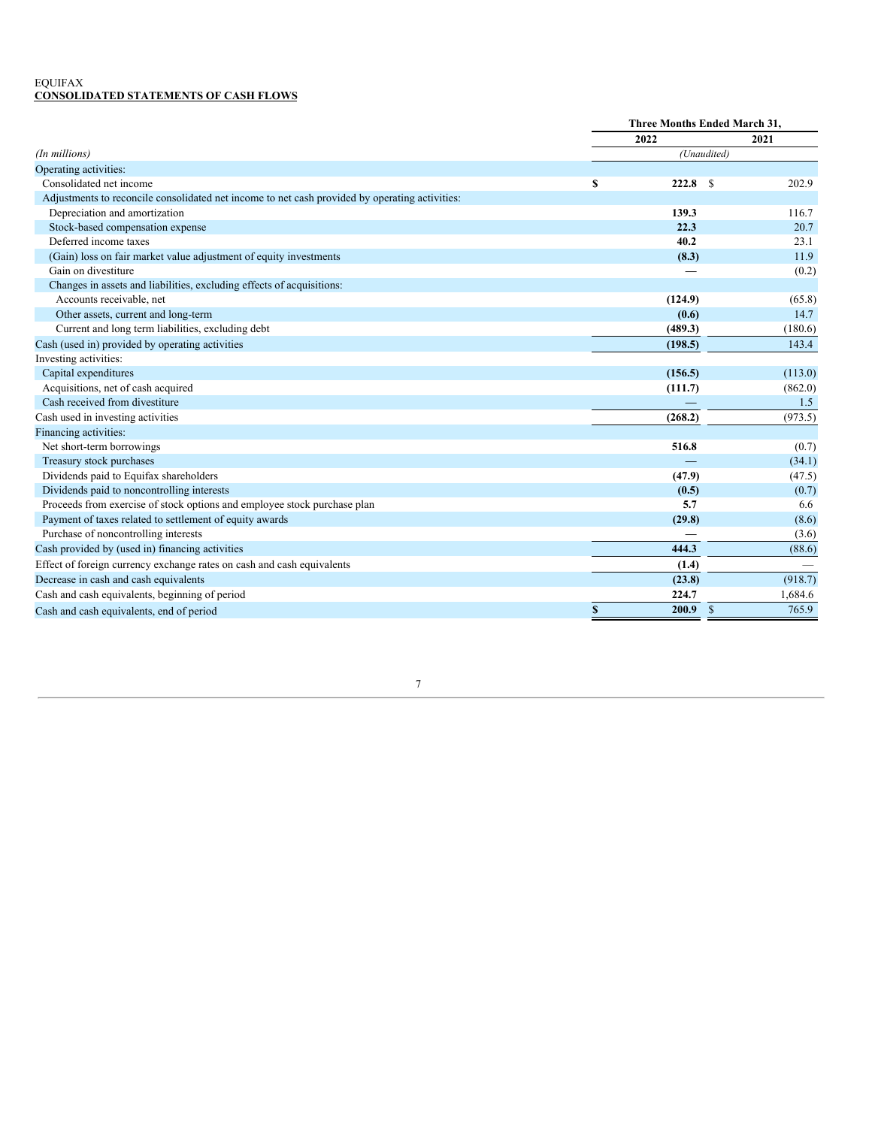## <span id="page-9-0"></span>EQUIFAX **CONSOLIDATED STATEMENTS OF CASH FLOWS**

|                                                                                                | Three Months Ended March 31, |         |              |         |
|------------------------------------------------------------------------------------------------|------------------------------|---------|--------------|---------|
|                                                                                                |                              | 2022    |              | 2021    |
| (In millions)                                                                                  |                              |         | (Unaudited)  |         |
| Operating activities:                                                                          |                              |         |              |         |
| Consolidated net income                                                                        | \$                           | 222.8   | S            | 202.9   |
| Adjustments to reconcile consolidated net income to net cash provided by operating activities: |                              |         |              |         |
| Depreciation and amortization                                                                  |                              | 139.3   |              | 116.7   |
| Stock-based compensation expense                                                               |                              | 22.3    |              | 20.7    |
| Deferred income taxes                                                                          |                              | 40.2    |              | 23.1    |
| (Gain) loss on fair market value adjustment of equity investments                              |                              | (8.3)   |              | 11.9    |
| Gain on divestiture                                                                            |                              |         |              | (0.2)   |
| Changes in assets and liabilities, excluding effects of acquisitions:                          |                              |         |              |         |
| Accounts receivable, net                                                                       |                              | (124.9) |              | (65.8)  |
| Other assets, current and long-term                                                            |                              | (0.6)   |              | 14.7    |
| Current and long term liabilities, excluding debt                                              |                              | (489.3) |              | (180.6) |
| Cash (used in) provided by operating activities                                                |                              | (198.5) |              | 143.4   |
| Investing activities:                                                                          |                              |         |              |         |
| Capital expenditures                                                                           |                              | (156.5) |              | (113.0) |
| Acquisitions, net of cash acquired                                                             |                              | (111.7) |              | (862.0) |
| Cash received from divestiture                                                                 |                              |         |              | 1.5     |
| Cash used in investing activities                                                              |                              | (268.2) |              | (973.5) |
| Financing activities:                                                                          |                              |         |              |         |
| Net short-term borrowings                                                                      |                              | 516.8   |              | (0.7)   |
| Treasury stock purchases                                                                       |                              |         |              | (34.1)  |
| Dividends paid to Equifax shareholders                                                         |                              | (47.9)  |              | (47.5)  |
| Dividends paid to noncontrolling interests                                                     |                              | (0.5)   |              | (0.7)   |
| Proceeds from exercise of stock options and employee stock purchase plan                       |                              | 5.7     |              | 6.6     |
| Payment of taxes related to settlement of equity awards                                        |                              | (29.8)  |              | (8.6)   |
| Purchase of noncontrolling interests                                                           |                              |         |              | (3.6)   |
| Cash provided by (used in) financing activities                                                |                              | 444.3   |              | (88.6)  |
| Effect of foreign currency exchange rates on cash and cash equivalents                         |                              | (1.4)   |              |         |
| Decrease in cash and cash equivalents                                                          |                              | (23.8)  |              | (918.7) |
| Cash and cash equivalents, beginning of period                                                 |                              | 224.7   |              | 1,684.6 |
| Cash and cash equivalents, end of period                                                       | \$                           | 200.9   | $\mathbb{S}$ | 765.9   |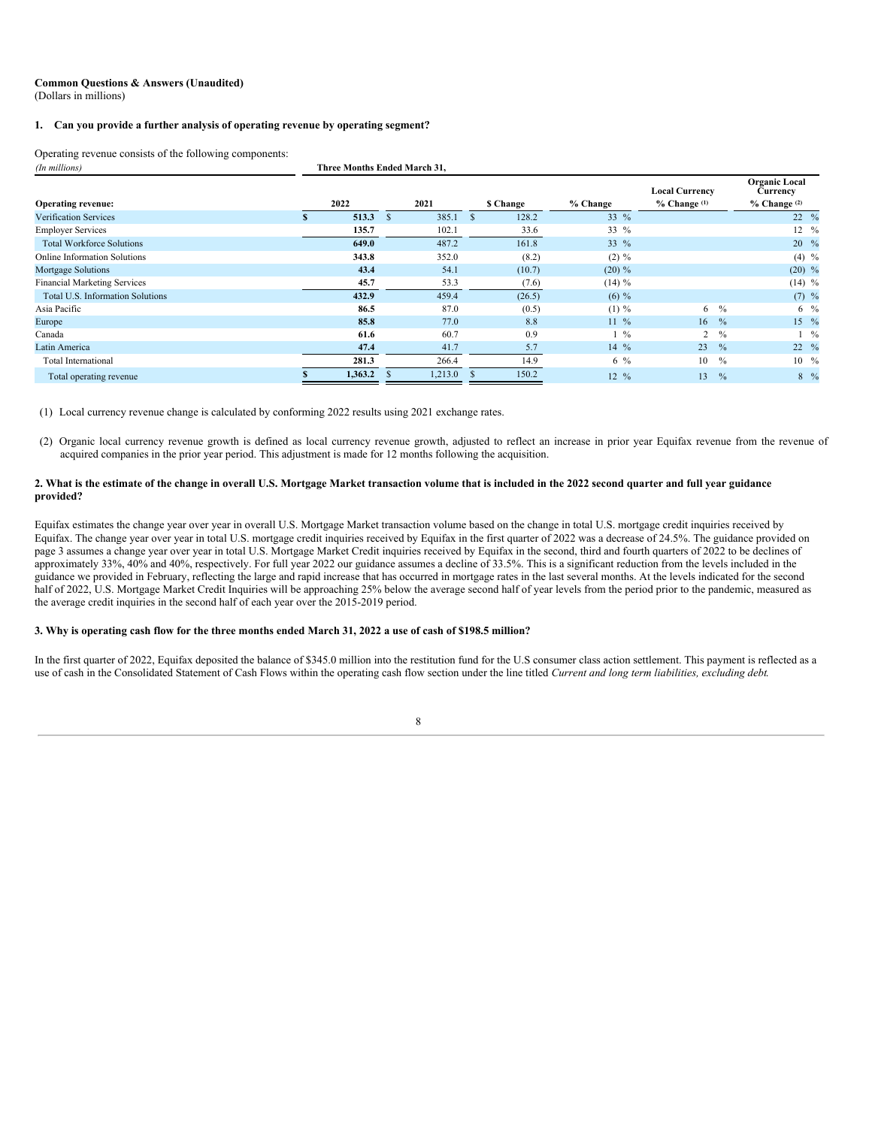#### **Common Questions & Answers (Unaudited)** (Dollars in millions)

#### **1. Can you provide a further analysis of operating revenue by operating segment?**

Operating revenue consists of the following components:<br> $(In~millions)$ 

| (In millions)                       | Three Months Ended March 31, |         |               |           |                  |                                           |                                                      |  |
|-------------------------------------|------------------------------|---------|---------------|-----------|------------------|-------------------------------------------|------------------------------------------------------|--|
| <b>Operating revenue:</b>           |                              | 2022    | 2021          | \$ Change | % Change         | <b>Local Currency</b><br>$%$ Change $(1)$ | <b>Organic Local</b><br>Currency<br>$%$ Change $(2)$ |  |
| <b>Verification Services</b>        |                              | 513.3   | 385.1<br>- \$ | 128.2     | 33 $%$           |                                           | $22 \frac{9}{6}$                                     |  |
| <b>Employer Services</b>            |                              | 135.7   | 102.1         | 33.6      | 33 %             |                                           | $12 \frac{9}{6}$                                     |  |
| <b>Total Workforce Solutions</b>    |                              | 649.0   | 487.2         | 161.8     | 33 $%$           |                                           | $20\frac{9}{6}$                                      |  |
| <b>Online Information Solutions</b> |                              | 343.8   | 352.0         | (8.2)     | $(2) \%$         |                                           | $(4)$ %                                              |  |
| Mortgage Solutions                  |                              | 43.4    | 54.1          | (10.7)    | $(20) \%$        |                                           | $(20)$ %                                             |  |
| <b>Financial Marketing Services</b> |                              | 45.7    | 53.3          | (7.6)     | $(14) \%$        |                                           | $(14)$ %                                             |  |
| Total U.S. Information Solutions    |                              | 432.9   | 459.4         | (26.5)    | $(6) \%$         |                                           | $(7)$ %                                              |  |
| Asia Pacific                        |                              | 86.5    | 87.0          | (0.5)     | $(1) \%$         | 6                                         | $\frac{0}{0}$<br>$6\frac{9}{6}$                      |  |
| Europe                              |                              | 85.8    | 77.0          | 8.8       | $11 \frac{9}{6}$ | 16                                        | $15 \frac{9}{6}$<br>$\%$                             |  |
| Canada                              |                              | 61.6    | 60.7          | 0.9       | $1\frac{9}{6}$   | 2                                         | $\%$<br>$\frac{0}{2}$                                |  |
| Latin America                       |                              | 47.4    | 41.7          | 5.7       | $14\%$           | 23                                        | $22 \frac{9}{6}$<br>$\%$                             |  |
| Total International                 |                              | 281.3   | 266.4         | 14.9      | $6\frac{9}{6}$   | 10                                        | $10 \frac{9}{6}$<br>$\frac{0}{0}$                    |  |
| Total operating revenue             |                              | 1,363.2 | 1,213.0       | 150.2     | $12 \frac{9}{6}$ | 13                                        | $8\frac{9}{6}$<br>$\%$                               |  |

(1) Local currency revenue change is calculated by conforming 2022 results using 2021 exchange rates.

(2) Organic local currency revenue growth is defined as local currency revenue growth, adjusted to reflect an increase in prior year Equifax revenue from the revenue of acquired companies in the prior year period. This adjustment is made for 12 months following the acquisition.

#### 2. What is the estimate of the change in overall U.S. Mortgage Market transaction volume that is included in the 2022 second quarter and full year guidance **provided?**

Equifax estimates the change year over year in overall U.S. Mortgage Market transaction volume based on the change in total U.S. mortgage credit inquiries received by Equifax. The change year over year in total U.S. mortgage credit inquiries received by Equifax in the first quarter of 2022 was a decrease of 24.5%. The guidance provided on page 3 assumes a change year over year in total U.S. Mortgage Market Credit inquiries received by Equifax in the second, third and fourth quarters of 2022 to be declines of approximately 33%, 40% and 40%, respectively. For full year 2022 our guidance assumes a decline of 33.5%. This is a significant reduction from the levels included in the guidance we provided in February, reflecting the large and rapid increase that has occurred in mortgage rates in the last several months. At the levels indicated for the second half of 2022, U.S. Mortgage Market Credit Inquiries will be approaching 25% below the average second half of year levels from the period prior to the pandemic, measured as the average credit inquiries in the second half of each year over the 2015-2019 period.

### 3. Why is operating cash flow for the three months ended March 31, 2022 a use of cash of \$198.5 million?

In the first quarter of 2022, Equifax deposited the balance of \$345.0 million into the restitution fund for the U.S consumer class action settlement. This payment is reflected as a use of cash in the Consolidated Statement of Cash Flows within the operating cash flow section under the line titled *Current and long term liabilities, excluding debt*.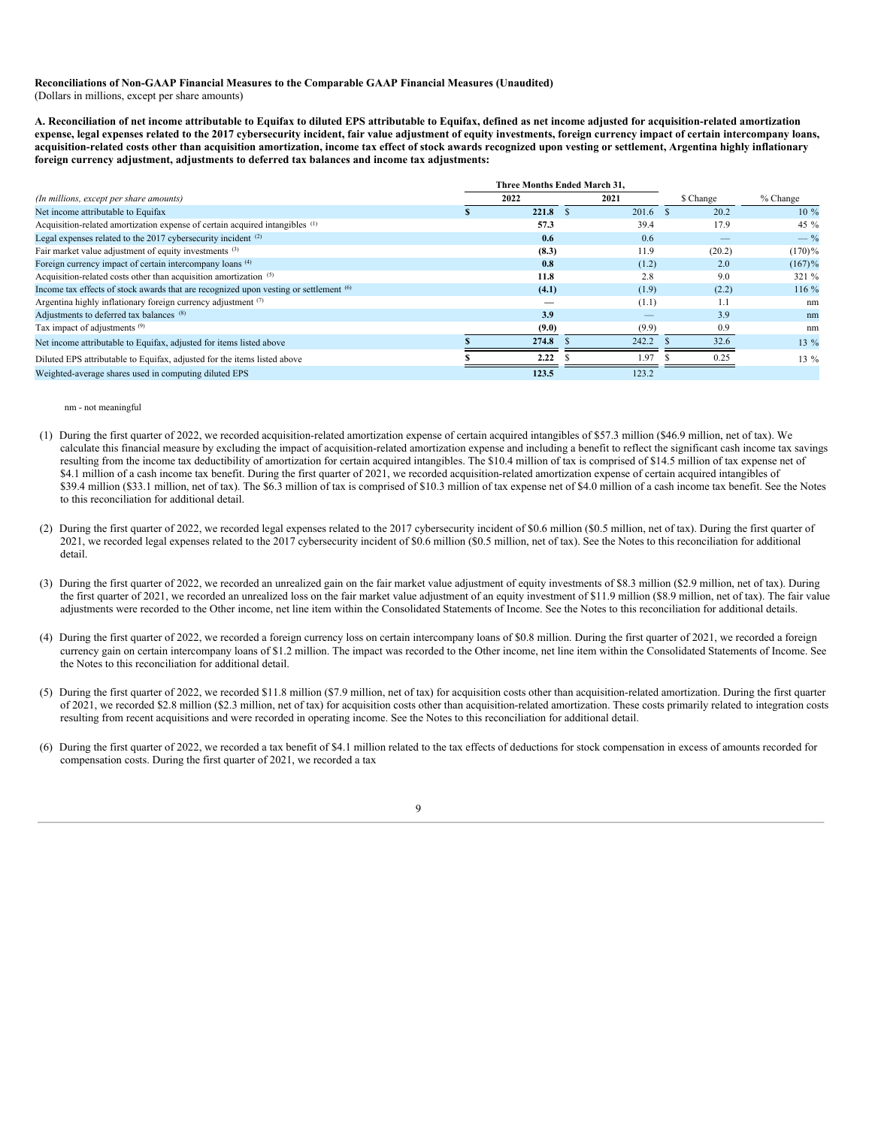## **Reconciliations of Non-GAAP Financial Measures to the Comparable GAAP Financial Measures (Unaudited)** (Dollars in millions, except per share amounts)

A. Reconciliation of net income attributable to Equifax to diluted EPS attributable to Equifax, defined as net income adiusted for acquisition-related amortization expense, legal expenses related to the 2017 cybersecurity incident, fair value adjustment of equity investments, foreign currency impact of certain intercompany loans, acquisition-related costs other than acquisition amortization, income tax effect of stock awards recognized upon vesting or settlement, Argentina highly inflationary **foreign currency adjustment, adjustments to deferred tax balances and income tax adjustments:**

|                                                                                                  | Three Months Ended March 31. |       |           |           |
|--------------------------------------------------------------------------------------------------|------------------------------|-------|-----------|-----------|
| (In millions, except per share amounts)                                                          | 2022                         | 2021  | \$ Change | % Change  |
| Net income attributable to Equifax                                                               | 221.8                        | 201.6 | 20.2      | $10\%$    |
| Acquisition-related amortization expense of certain acquired intangibles (1)                     | 57.3                         | 39.4  | 17.9      | 45 %      |
| Legal expenses related to the 2017 cybersecurity incident (2)                                    | 0.6                          | 0.6   |           | $-$ %     |
| Fair market value adjustment of equity investments (3)                                           | (8.3)                        | 11.9  | (20.2)    | $(170)\%$ |
| Foreign currency impact of certain intercompany loans (4)                                        | 0.8                          | (1.2) | 2.0       | $(167)$ % |
| Acquisition-related costs other than acquisition amortization (5)                                | 11.8                         | 2.8   | 9.0       | 321 %     |
| Income tax effects of stock awards that are recognized upon vesting or settlement <sup>(6)</sup> | (4.1)                        | (1.9) | (2.2)     | 116 %     |
| Argentina highly inflationary foreign currency adjustment (7)                                    |                              | (1.1) | 1.1       | nm        |
| Adjustments to deferred tax balances (8)                                                         | 3.9                          |       | 3.9       | nm        |
| Tax impact of adjustments <sup>(9)</sup>                                                         | (9.0)                        | (9.9) | 0.9       | nm        |
| Net income attributable to Equifax, adjusted for items listed above                              | 274.8                        | 242.2 | 32.6      | 13 %      |
| Diluted EPS attributable to Equifax, adjusted for the items listed above                         | 2.22                         | 1.97  | 0.25      | $13\%$    |
| Weighted-average shares used in computing diluted EPS                                            | 123.5                        | 123.2 |           |           |

#### nm - not meaningful

- (1) During the first quarter of 2022, we recorded acquisition-related amortization expense of certain acquired intangibles of \$57.3 million (\$46.9 million, net of tax). We calculate this financial measure by excluding the impact of acquisition-related amortization expense and including a benefit to reflect the significant cash income tax savings resulting from the income tax deductibility of amortization for certain acquired intangibles. The \$10.4 million of tax is comprised of \$14.5 million of tax expense net of \$4.1 million of a cash income tax benefit. During the first quarter of 2021, we recorded acquisition-related amortization expense of certain acquired intangibles of \$39.4 million (\$33.1 million, net of tax). The \$6.3 million of tax is comprised of \$10.3 million of tax expense net of \$4.0 million of a cash income tax benefit. See the Notes to this reconciliation for additional detail.
- (2) During the first quarter of 2022, we recorded legal expenses related to the 2017 cybersecurity incident of \$0.6 million (\$0.5 million, net of tax). During the first quarter of 2021, we recorded legal expenses related to the 2017 cybersecurity incident of \$0.6 million (\$0.5 million, net of tax). See the Notes to this reconciliation for additional detail.
- (3) During the first quarter of 2022, we recorded an unrealized gain on the fair market value adjustment of equity investments of \$8.3 million (\$2.9 million, net of tax). During the first quarter of 2021, we recorded an unrealized loss on the fair market value adjustment of an equity investment of \$11.9 million (\$8.9 million, net of tax). The fair value adjustments were recorded to the Other income, net line item within the Consolidated Statements of Income. See the Notes to this reconciliation for additional details.
- (4) During the first quarter of 2022, we recorded a foreign currency loss on certain intercompany loans of \$0.8 million. During the first quarter of 2021, we recorded a foreign currency gain on certain intercompany loans of \$1.2 million. The impact was recorded to the Other income, net line item within the Consolidated Statements of Income. See the Notes to this reconciliation for additional detail.
- (5) During the first quarter of 2022, we recorded \$11.8 million (\$7.9 million, net of tax) for acquisition costs other than acquisition-related amortization. During the first quarter of 2021, we recorded \$2.8 million (\$2.3 million, net of tax) for acquisition costs other than acquisition-related amortization. These costs primarily related to integration costs resulting from recent acquisitions and were recorded in operating income. See the Notes to this reconciliation for additional detail.
- (6) During the first quarter of 2022, we recorded a tax benefit of \$4.1 million related to the tax effects of deductions for stock compensation in excess of amounts recorded for compensation costs. During the first quarter of 2021, we recorded a tax

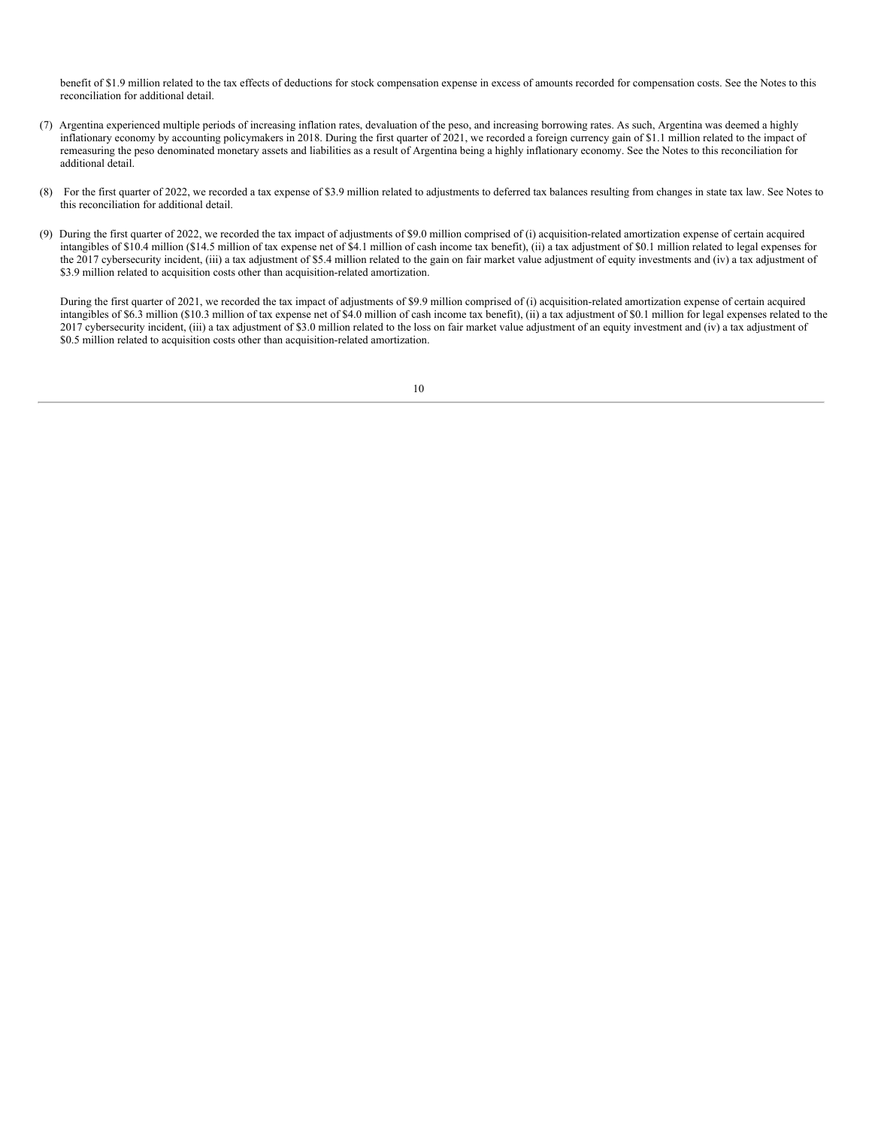benefit of \$1.9 million related to the tax effects of deductions for stock compensation expense in excess of amounts recorded for compensation costs. See the Notes to this reconciliation for additional detail.

- (7) Argentina experienced multiple periods of increasing inflation rates, devaluation of the peso, and increasing borrowing rates. As such, Argentina was deemed a highly inflationary economy by accounting policymakers in 2018. During the first quarter of 2021, we recorded a foreign currency gain of \$1.1 million related to the impact of remeasuring the peso denominated monetary assets and liabilities as a result of Argentina being a highly inflationary economy. See the Notes to this reconciliation for additional detail.
- (8) For the first quarter of 2022, we recorded a tax expense of \$3.9 million related to adjustments to deferred tax balances resulting from changes in state tax law. See Notes to this reconciliation for additional detail.
- (9) During the first quarter of 2022, we recorded the tax impact of adjustments of \$9.0 million comprised of (i) acquisition-related amortization expense of certain acquired intangibles of \$10.4 million (\$14.5 million of tax expense net of \$4.1 million of cash income tax benefit), (ii) a tax adjustment of \$0.1 million related to legal expenses for the 2017 cybersecurity incident, (iii) a tax adjustment of \$5.4 million related to the gain on fair market value adjustment of equity investments and (iv) a tax adjustment of \$3.9 million related to acquisition costs other than acquisition-related amortization.

During the first quarter of 2021, we recorded the tax impact of adjustments of \$9.9 million comprised of (i) acquisition-related amortization expense of certain acquired intangibles of \$6.3 million (\$10.3 million of tax expense net of \$4.0 million of cash income tax benefit), (ii) a tax adjustment of \$0.1 million for legal expenses related to the 2017 cybersecurity incident, (iii) a tax adjustment of \$3.0 million related to the loss on fair market value adjustment of an equity investment and (iv) a tax adjustment of \$0.5 million related to acquisition costs other than acquisition-related amortization.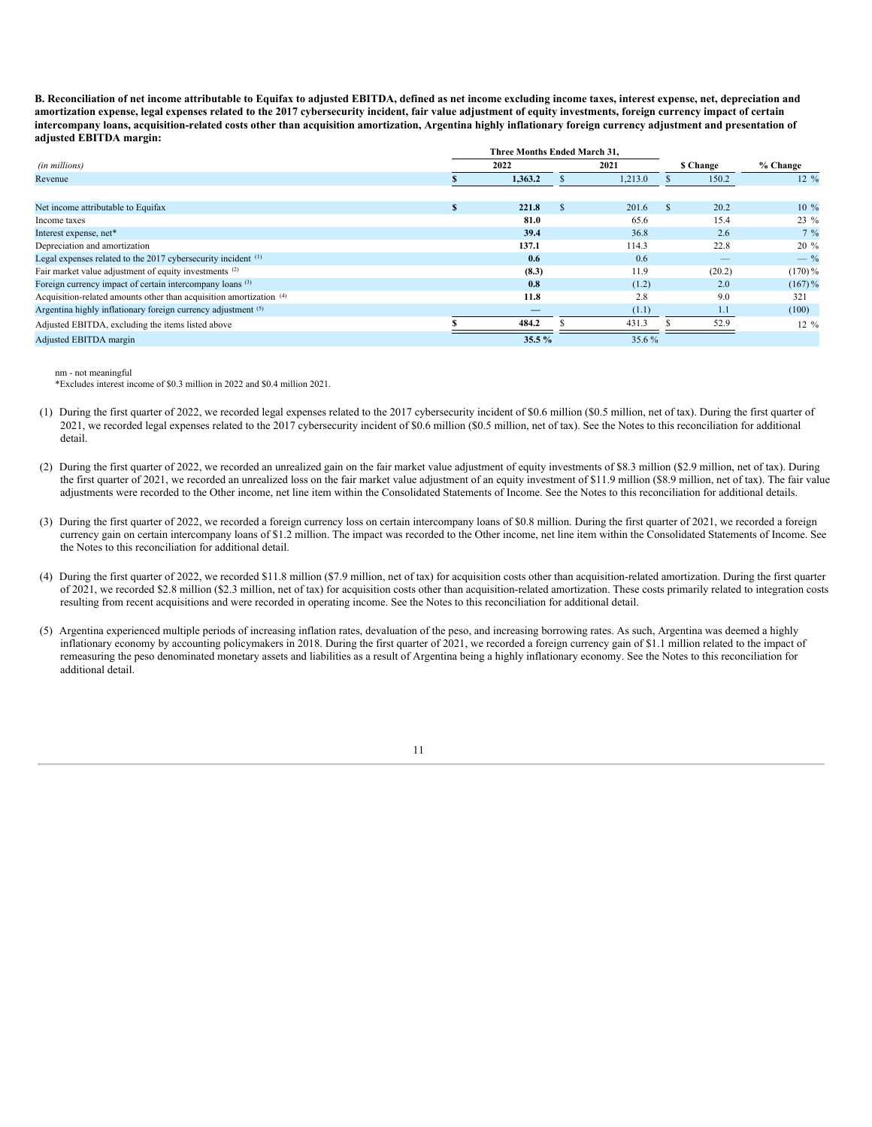B. Reconciliation of net income attributable to Equifax to adjusted EBITDA, defined as net income excluding income taxes, interest expense, net, depreciation and amortization expense, legal expenses related to the 2017 cybersecurity incident, fair value adjustment of equity investments, foreign currency impact of certain intercompany loans, acquisition-related costs other than acquisition amortization, Argentina highly inflationary foreign currency adjustment and presentation of **adjusted EBITDA margin:**

|                                                                     | Three Months Ended March 31. |   |         |     |           |                  |
|---------------------------------------------------------------------|------------------------------|---|---------|-----|-----------|------------------|
| (in millions)                                                       | 2022                         |   | 2021    |     | \$ Change | % Change         |
| Revenue                                                             | 1,363.2                      |   | 1,213.0 |     | 150.2     | $12 \frac{9}{6}$ |
|                                                                     |                              |   |         |     |           |                  |
| Net income attributable to Equifax                                  | 221.8                        | S | 201.6   | \$. | 20.2      | $10\%$           |
| Income taxes                                                        | 81.0                         |   | 65.6    |     | 15.4      | $23 \%$          |
| Interest expense, net*                                              | 39.4                         |   | 36.8    |     | 2.6       | $7\%$            |
| Depreciation and amortization                                       | 137.1                        |   | 114.3   |     | 22.8      | $20 \%$          |
| Legal expenses related to the 2017 cybersecurity incident (1)       | 0.6                          |   | 0.6     |     |           | $-$ %            |
| Fair market value adjustment of equity investments (2)              | (8.3)                        |   | 11.9    |     | (20.2)    | $(170)\%$        |
| Foreign currency impact of certain intercompany loans (3)           | 0.8                          |   | (1.2)   |     | 2.0       | $(167)$ %        |
| Acquisition-related amounts other than acquisition amortization (4) | 11.8                         |   | 2.8     |     | 9.0       | 321              |
| Argentina highly inflationary foreign currency adjustment (5)       | —                            |   | (1.1)   |     | 1.1       | (100)            |
| Adjusted EBITDA, excluding the items listed above                   | 484.2                        |   | 431.3   |     | 52.9      | $12 \frac{9}{6}$ |
| Adjusted EBITDA margin                                              | $35.5\%$                     |   | 35.6%   |     |           |                  |

## nm - not meaningful

\*Excludes interest income of \$0.3 million in 2022 and \$0.4 million 2021.

- (1) During the first quarter of 2022, we recorded legal expenses related to the 2017 cybersecurity incident of \$0.6 million (\$0.5 million, net of tax). During the first quarter of 2021, we recorded legal expenses related to the 2017 cybersecurity incident of \$0.6 million (\$0.5 million, net of tax). See the Notes to this reconciliation for additional detail.
- (2) During the first quarter of 2022, we recorded an unrealized gain on the fair market value adjustment of equity investments of \$8.3 million (\$2.9 million, net of tax). During the first quarter of 2021, we recorded an unrealized loss on the fair market value adjustment of an equity investment of \$11.9 million (\$8.9 million, net of tax). The fair value adjustments were recorded to the Other income, net line item within the Consolidated Statements of Income. See the Notes to this reconciliation for additional details.
- (3) During the first quarter of 2022, we recorded a foreign currency loss on certain intercompany loans of \$0.8 million. During the first quarter of 2021, we recorded a foreign currency gain on certain intercompany loans of \$1.2 million. The impact was recorded to the Other income, net line item within the Consolidated Statements of Income. See the Notes to this reconciliation for additional detail.
- (4) During the first quarter of 2022, we recorded \$11.8 million (\$7.9 million, net of tax) for acquisition costs other than acquisition-related amortization. During the first quarter of 2021, we recorded \$2.8 million (\$2.3 million, net of tax) for acquisition costs other than acquisition-related amortization. These costs primarily related to integration costs resulting from recent acquisitions and were recorded in operating income. See the Notes to this reconciliation for additional detail.
- (5) Argentina experienced multiple periods of increasing inflation rates, devaluation of the peso, and increasing borrowing rates. As such, Argentina was deemed a highly inflationary economy by accounting policymakers in 2018. During the first quarter of 2021, we recorded a foreign currency gain of \$1.1 million related to the impact of remeasuring the peso denominated monetary assets and liabilities as a result of Argentina being a highly inflationary economy. See the Notes to this reconciliation for additional detail.

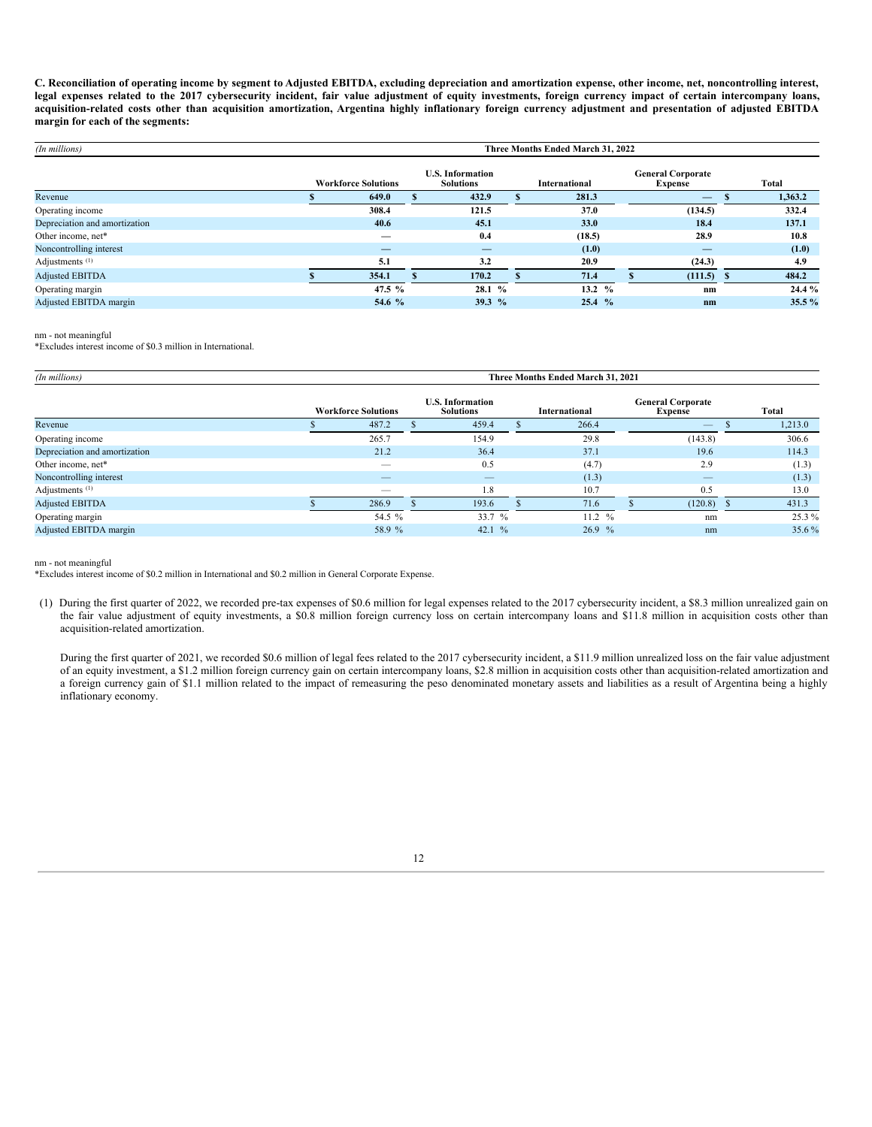C. Reconciliation of operating income by segment to Adjusted EBITDA, excluding depreciation and amortization expense, other income, net, noncontrolling interest, legal expenses related to the 2017 cybersecurity incident, fair value adjustment of equity investments, foreign currency impact of certain intercompany loans, acquisition-related costs other than acquisition amortization, Argentina highly inflationary foreign currency adjustment and presentation of adjusted EBITDA **margin for each of the segments:**

| (In millions)                 | Three Months Ended March 31, 2022 |                                             |          |  |               |                                            |                |  |         |  |
|-------------------------------|-----------------------------------|---------------------------------------------|----------|--|---------------|--------------------------------------------|----------------|--|---------|--|
|                               | <b>Workforce Solutions</b>        | <b>U.S. Information</b><br><b>Solutions</b> |          |  | International | <b>General Corporate</b><br><b>Expense</b> |                |  | Total   |  |
| Revenue                       | 649.0                             |                                             | 432.9    |  | 281.3         |                                            |                |  | 1,363.2 |  |
| Operating income              | 308.4                             |                                             | 121.5    |  | 37.0          |                                            | (134.5)        |  | 332.4   |  |
| Depreciation and amortization | 40.6                              |                                             | 45.1     |  | 33.0          |                                            | 18.4           |  | 137.1   |  |
| Other income, net*            | _                                 |                                             | 0.4      |  | (18.5)        |                                            | 28.9           |  | 10.8    |  |
| Noncontrolling interest       |                                   |                                             |          |  | (1.0)         |                                            |                |  | (1.0)   |  |
| Adjustments <sup>(1)</sup>    | 5.1                               |                                             | 3.2      |  | 20.9          |                                            | (24.3)         |  | 4.9     |  |
| <b>Adjusted EBITDA</b>        | 354.1                             |                                             | 170.2    |  | 71.4          |                                            | $(111.5)$ \$   |  | 484.2   |  |
| Operating margin              | 47.5 $%$                          |                                             | 28.1 %   |  | 13.2 $%$      |                                            | $n_{m}$        |  | 24.4%   |  |
| Adjusted EBITDA margin        | 54.6 %                            |                                             | 39.3 $%$ |  | 25.4 %        |                                            | n <sub>m</sub> |  | 35.5%   |  |

nm - not meaningful

\*Excludes interest income of \$0.3 million in International.

| (In millions)                 | Three Months Ended March 31, 2021 |                            |  |                                             |  |                      |                                            |                          |  |         |  |
|-------------------------------|-----------------------------------|----------------------------|--|---------------------------------------------|--|----------------------|--------------------------------------------|--------------------------|--|---------|--|
|                               |                                   | <b>Workforce Solutions</b> |  | <b>U.S. Information</b><br><b>Solutions</b> |  | <b>International</b> | <b>General Corporate</b><br><b>Expense</b> |                          |  | Total   |  |
| Revenue                       |                                   | 487.2                      |  | 459.4                                       |  | 266.4                |                                            | $\overline{\phantom{m}}$ |  | 1,213.0 |  |
| Operating income              |                                   | 265.7                      |  | 154.9                                       |  | 29.8                 |                                            | (143.8)                  |  | 306.6   |  |
| Depreciation and amortization |                                   | 21.2                       |  | 36.4                                        |  | 37.1                 |                                            | 19.6                     |  | 114.3   |  |
| Other income, net*            |                                   | $\sim$                     |  | 0.5                                         |  | (4.7)                |                                            | 2.9                      |  | (1.3)   |  |
| Noncontrolling interest       |                                   | __                         |  |                                             |  | (1.3)                |                                            |                          |  | (1.3)   |  |
| Adjustments <sup>(1)</sup>    |                                   | $\sim$                     |  | 1.8                                         |  | 10.7                 |                                            | 0.5                      |  | 13.0    |  |
| <b>Adjusted EBITDA</b>        |                                   | 286.9                      |  | 193.6                                       |  | 71.6                 |                                            | (120.8)                  |  | 431.3   |  |
| Operating margin              |                                   | 54.5 %                     |  | 33.7%                                       |  | 11.2 %               |                                            | nm                       |  | 25.3 %  |  |
| Adjusted EBITDA margin        |                                   | 58.9 %                     |  | 42.1 $\%$                                   |  | 26.9%                |                                            | nm                       |  | 35.6%   |  |

nm - not meaningful

\*Excludes interest income of \$0.2 million in International and \$0.2 million in General Corporate Expense.

(1) During the first quarter of 2022, we recorded pre-tax expenses of \$0.6 million for legal expenses related to the 2017 cybersecurity incident, a \$8.3 million unrealized gain on the fair value adjustment of equity investments, a \$0.8 million foreign currency loss on certain intercompany loans and \$11.8 million in acquisition costs other than acquisition-related amortization.

During the first quarter of 2021, we recorded \$0.6 million of legal fees related to the 2017 cybersecurity incident, a \$11.9 million unrealized loss on the fair value adjustment of an equity investment, a \$1.2 million foreign currency gain on certain intercompany loans, \$2.8 million in acquisition costs other than acquisition-related amortization and a foreign currency gain of \$1.1 million related to the impact of remeasuring the peso denominated monetary assets and liabilities as a result of Argentina being a highly inflationary economy.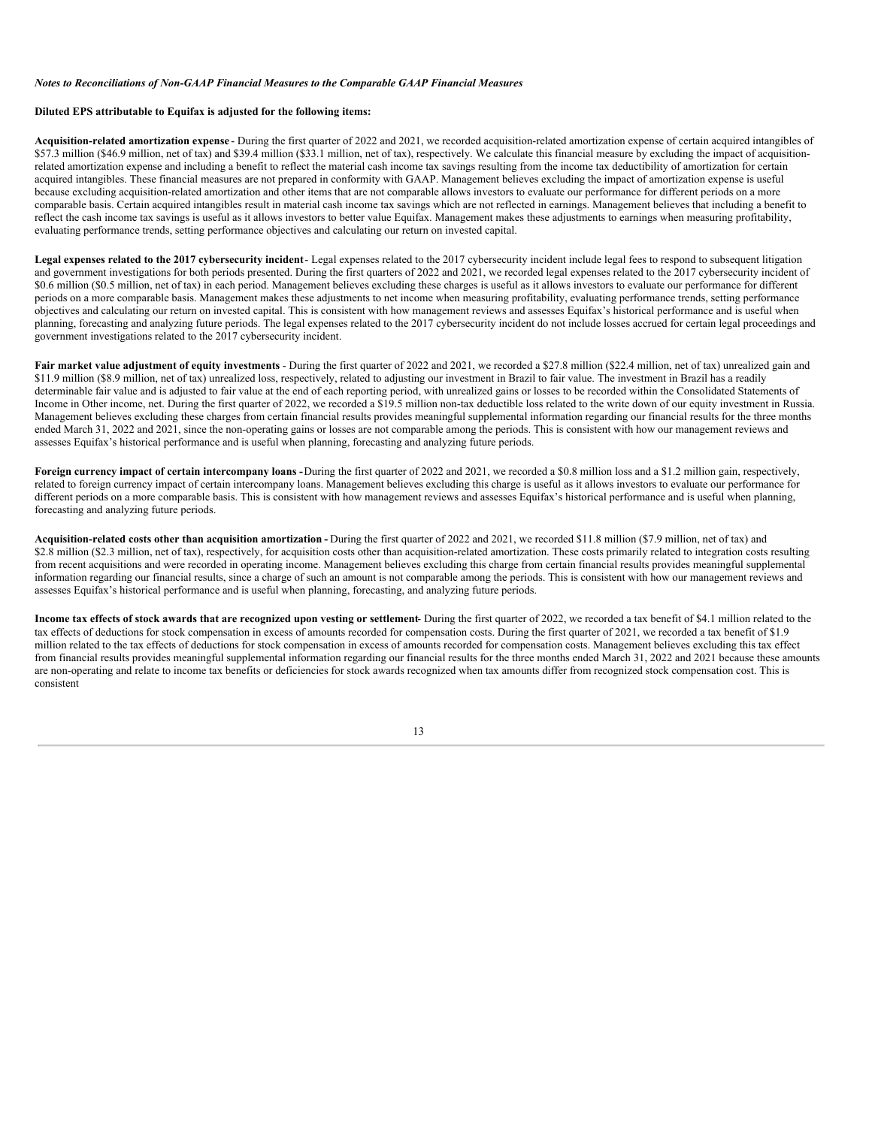#### *Notes to Reconciliations of Non-GAAP Financial Measures to the Comparable GAAP Financial Measures*

#### **Diluted EPS attributable to Equifax is adjusted for the following items:**

**Acquisition-related amortization expense** - During the first quarter of 2022 and 2021, we recorded acquisition-related amortization expense of certain acquired intangibles of \$57.3 million (\$46.9 million, net of tax) and \$39.4 million (\$33.1 million, net of tax), respectively. We calculate this financial measure by excluding the impact of acquisitionrelated amortization expense and including a benefit to reflect the material cash income tax savings resulting from the income tax deductibility of amortization for certain acquired intangibles. These financial measures are not prepared in conformity with GAAP. Management believes excluding the impact of amortization expense is useful because excluding acquisition-related amortization and other items that are not comparable allows investors to evaluate our performance for different periods on a more comparable basis. Certain acquired intangibles result in material cash income tax savings which are not reflected in earnings. Management believes that including a benefit to reflect the cash income tax savings is useful as it allows investors to better value Equifax. Management makes these adjustments to earnings when measuring profitability, evaluating performance trends, setting performance objectives and calculating our return on invested capital.

Legal expenses related to the 2017 cybersecurity incident - Legal expenses related to the 2017 cybersecurity incident include legal fees to respond to subsequent litigation and government investigations for both periods presented. During the first quarters of 2022 and 2021, we recorded legal expenses related to the 2017 cybersecurity incident of \$0.6 million (\$0.5 million, net of tax) in each period. Management believes excluding these charges is useful as it allows investors to evaluate our performance for different periods on a more comparable basis. Management makes these adjustments to net income when measuring profitability, evaluating performance trends, setting performance objectives and calculating our return on invested capital. This is consistent with how management reviews and assesses Equifax's historical performance and is useful when planning, forecasting and analyzing future periods. The legal expenses related to the 2017 cybersecurity incident do not include losses accrued for certain legal proceedings and government investigations related to the 2017 cybersecurity incident.

Fair market value adjustment of equity investments - During the first quarter of 2022 and 2021, we recorded a \$27.8 million (\$22.4 million, net of tax) unrealized gain and \$11.9 million (\$8.9 million, net of tax) unrealized loss, respectively, related to adjusting our investment in Brazil to fair value. The investment in Brazil has a readily determinable fair value and is adjusted to fair value at the end of each reporting period, with unrealized gains or losses to be recorded within the Consolidated Statements of Income in Other income, net. During the first quarter of 2022, we recorded a \$19.5 million non-tax deductible loss related to the write down of our equity investment in Russia. Management believes excluding these charges from certain financial results provides meaningful supplemental information regarding our financial results for the three months ended March 31, 2022 and 2021, since the non-operating gains or losses are not comparable among the periods. This is consistent with how our management reviews and assesses Equifax's historical performance and is useful when planning, forecasting and analyzing future periods.

**Foreign currency impact of certain intercompany loans -**During the first quarter of 2022 and 2021, we recorded a \$0.8 million loss and a \$1.2 million gain, respectively, related to foreign currency impact of certain intercompany loans. Management believes excluding this charge is useful as it allows investors to evaluate our performance for different periods on a more comparable basis. This is consistent with how management reviews and assesses Equifax's historical performance and is useful when planning, forecasting and analyzing future periods.

**Acquisition-related costs other than acquisition amortization -** During the first quarter of 2022 and 2021, we recorded \$11.8 million (\$7.9 million, net of tax) and \$2.8 million (\$2.3 million, net of tax), respectively, for acquisition costs other than acquisition-related amortization. These costs primarily related to integration costs resulting from recent acquisitions and were recorded in operating income. Management believes excluding this charge from certain financial results provides meaningful supplemental information regarding our financial results, since a charge of such an amount is not comparable among the periods. This is consistent with how our management reviews and assesses Equifax's historical performance and is useful when planning, forecasting, and analyzing future periods.

Income tax effects of stock awards that are recognized upon vesting or settlement- During the first quarter of 2022, we recorded a tax benefit of \$4.1 million related to the tax effects of deductions for stock compensation in excess of amounts recorded for compensation costs. During the first quarter of 2021, we recorded a tax benefit of \$1.9 million related to the tax effects of deductions for stock compensation in excess of amounts recorded for compensation costs. Management believes excluding this tax effect from financial results provides meaningful supplemental information regarding our financial results for the three months ended March 31, 2022 and 2021 because these amounts are non-operating and relate to income tax benefits or deficiencies for stock awards recognized when tax amounts differ from recognized stock compensation cost. This is consistent